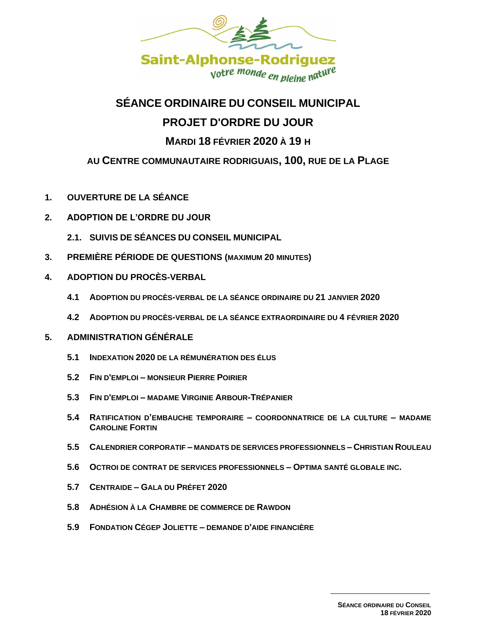

# **SÉANCE ORDINAIRE DU CONSEIL MUNICIPAL PROJET D'ORDRE DU JOUR**

## **MARDI 18 FÉVRIER 2020 À 19 H**

### **AU CENTRE COMMUNAUTAIRE RODRIGUAIS, 100, RUE DE LA PLAGE**

- **1. OUVERTURE DE LA SÉANCE**
- **2. ADOPTION DE L'ORDRE DU JOUR** 
	- **2.1. SUIVIS DE SÉANCES DU CONSEIL MUNICIPAL**
- **3. PREMIÈRE PÉRIODE DE QUESTIONS (MAXIMUM 20 MINUTES)**
- **4. ADOPTION DU PROCÈS-VERBAL** 
	- **4.1 ADOPTION DU PROCÈS-VERBAL DE LA SÉANCE ORDINAIRE DU 21 JANVIER 2020**
	- **4.2 ADOPTION DU PROCÈS-VERBAL DE LA SÉANCE EXTRAORDINAIRE DU 4 FÉVRIER 2020**
- **5. ADMINISTRATION GÉNÉRALE**
	- **5.1 INDEXATION 2020 DE LA RÉMUNÉRATION DES ÉLUS**
	- **5.2 FIN D'EMPLOI – MONSIEUR PIERRE POIRIER**
	- **5.3 FIN D'EMPLOI – MADAME VIRGINIE ARBOUR-TRÉPANIER**
	- **5.4 RATIFICATION D'EMBAUCHE TEMPORAIRE – COORDONNATRICE DE LA CULTURE – MADAME CAROLINE FORTIN**
	- **5.5 CALENDRIER CORPORATIF – MANDATS DE SERVICES PROFESSIONNELS – CHRISTIAN ROULEAU**
	- **5.6 OCTROI DE CONTRAT DE SERVICES PROFESSIONNELS – OPTIMA SANTÉ GLOBALE INC.**
	- **5.7 CENTRAIDE – GALA DU PRÉFET 2020**
	- **5.8 ADHÉSION À LA CHAMBRE DE COMMERCE DE RAWDON**
	- **5.9 FONDATION CÉGEP JOLIETTE – DEMANDE D'AIDE FINANCIÈRE**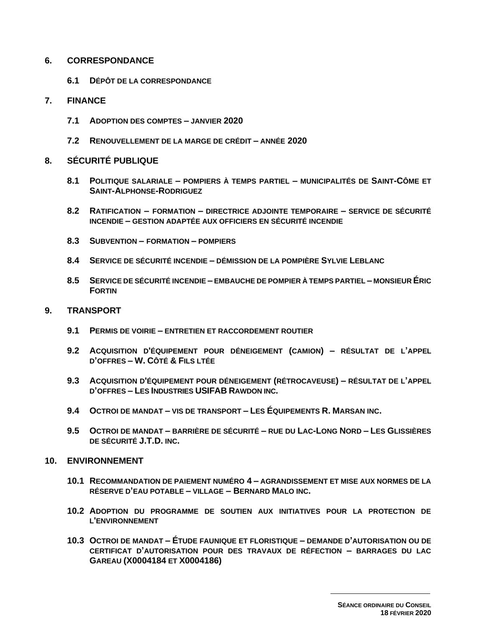#### **6. CORRESPONDANCE**

**6.1 D[ÉPÔT DE LA CORRESPONDANCE](file:///G:/PIÈCES%20JOINTES%20-%20hyperliens/CORRESPONDANCE%202012.xls)**

#### **7. FINANCE**

- **7.1 ADOPTION DES COMPTES – JANVIER 2020**
- **7.2 RENOUVELLEMENT DE LA MARGE DE CRÉDIT – ANNÉE 2020**
- **8. SÉCURITÉ PUBLIQUE**
	- **8.1 POLITIQUE SALARIALE – POMPIERS À TEMPS PARTIEL – MUNICIPALITÉS DE SAINT-CÔME ET SAINT-ALPHONSE-RODRIGUEZ**
	- **8.2 RATIFICATION – FORMATION – DIRECTRICE ADJOINTE TEMPORAIRE – SERVICE DE SÉCURITÉ INCENDIE – GESTION ADAPTÉE AUX OFFICIERS EN SÉCURITÉ INCENDIE**
	- **8.3 SUBVENTION – FORMATION – POMPIERS**
	- **8.4 SERVICE DE SÉCURITÉ INCENDIE – DÉMISSION DE LA POMPIÈRE SYLVIE LEBLANC**
	- **8.5 SERVICE DE SÉCURITÉ INCENDIE – EMBAUCHE DE POMPIER À TEMPS PARTIEL – MONSIEUR ÉRIC FORTIN**

#### **9. TRANSPORT**

- **9.1 PERMIS DE VOIRIE – ENTRETIEN ET RACCORDEMENT ROUTIER**
- **9.2 ACQUISITION D'ÉQUIPEMENT POUR DÉNEIGEMENT (CAMION) – RÉSULTAT DE L'APPEL D'OFFRES – W. CÔTÉ & FILS LTÉE**
- **9.3 ACQUISITION D'ÉQUIPEMENT POUR DÉNEIGEMENT (RÉTROCAVEUSE) – RÉSULTAT DE L'APPEL D'OFFRES – LES INDUSTRIES USIFAB RAWDON INC.**
- **9.4 OCTROI DE MANDAT – VIS DE TRANSPORT – LES ÉQUIPEMENTS R. MARSAN INC.**
- **9.5 OCTROI DE MANDAT – BARRIÈRE DE SÉCURITÉ – RUE DU LAC-LONG NORD – LES GLISSIÈRES DE SÉCURITÉ J.T.D. INC.**

#### **10. ENVIRONNEMENT**

- **10.1 RECOMMANDATION DE PAIEMENT NUMÉRO 4 – AGRANDISSEMENT ET MISE AUX NORMES DE LA RÉSERVE D'EAU POTABLE – VILLAGE – BERNARD MALO INC.**
- **10.2 ADOPTION DU PROGRAMME DE SOUTIEN AUX INITIATIVES POUR LA PROTECTION DE L'ENVIRONNEMENT**
- **10.3 OCTROI DE MANDAT – ÉTUDE FAUNIQUE ET FLORISTIQUE – DEMANDE D'AUTORISATION OU DE CERTIFICAT D'AUTORISATION POUR DES TRAVAUX DE RÉFECTION – BARRAGES DU LAC GAREAU (X0004184 ET X0004186)**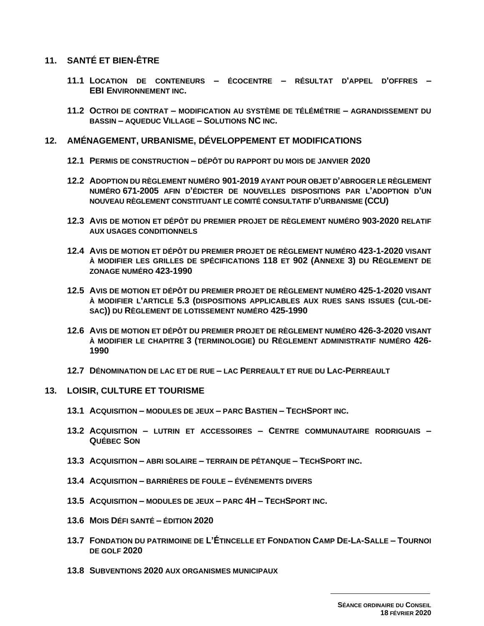### 11. SANTÉ ET BIEN-ÊTRE

- 11.1 LOCATION DE CONTENEURS ÉCOCENTRE RÉSULTAT D'APPEL D'OFFRES -**EBI ENVIRONNEMENT INC.**
- 11.2 OCTROI DE CONTRAT MODIFICATION AU SYSTÈME DE TÉLÉMÉTRIE AGRANDISSEMENT DU **BASSIN - AQUEDUC VILLAGE - SOLUTIONS NC INC.**

#### 12. AMÉNAGEMENT, URBANISME, DÉVELOPPEMENT ET MODIFICATIONS

- 12.1 PERMIS DE CONSTRUCTION DÉPÔT DU RAPPORT DU MOIS DE JANVIER 2020
- 12.2 ADOPTION DU RÈGLEMENT NUMÉRO 901-2019 AYANT POUR OBJET D'ABROGER LE RÈGLEMENT NUMÉRO 671-2005 AFIN D'ÉDICTER DE NOUVELLES DISPOSITIONS PAR L'ADOPTION D'UN NOUVEAU RÈGLEMENT CONSTITUANT LE COMITÉ CONSULTATIF D'URBANISME (CCU)
- 12.3 AVIS DE MOTION ET DÉPÔT DU PREMIER PROJET DE RÈGLEMENT NUMÉRO 903-2020 RELATIF **AUX USAGES CONDITIONNELS**
- 12.4 AVIS DE MOTION ET DÉPÔT DU PREMIER PROJET DE RÈGLEMENT NUMÉRO 423-1-2020 VISANT À MODIFIER LES GRILLES DE SPÉCIFICATIONS 118 ET 902 (ANNEXE 3) DU RÈGLEMENT DE ZONAGE NUMÉRO 423-1990
- 12.5 AVIS DE MOTION ET DÉPÔT DU PREMIER PROJET DE RÈGLEMENT NUMÉRO 425-1-2020 VISANT À MODIFIER L'ARTICLE 5.3 (DISPOSITIONS APPLICABLES AUX RUES SANS ISSUES (CUL-DE-SAC)) DU RÈGLEMENT DE LOTISSEMENT NUMÉRO 425-1990
- 12.6 AVIS DE MOTION ET DÉPÔT DU PREMIER PROJET DE RÈGLEMENT NUMÉRO 426-3-2020 VISANT À MODIFIER LE CHAPITRE 3 (TERMINOLOGIE) DU RÈGLEMENT ADMINISTRATIF NUMÉRO 426-1990
- 12.7 DÉNOMINATION DE LAC ET DE RUE LAC PERREAULT ET RUE DU LAC-PERREAULT

#### 13. LOISIR, CULTURE ET TOURISME

- 13.1 ACQUISITION MODULES DE JEUX PARC BASTIEN TECHSPORT INC.
- 13.2 ACQUISITION LUTRIN ET ACCESSOIRES CENTRE COMMUNAUTAIRE RODRIGUAIS -**QUÉBEC SON**
- 13.3 ACQUISITION ABRI SOLAIRE TERRAIN DE PÉTANQUE TECHSPORT INC.
- 13.4 ACQUISITION BARRIÈRES DE FOULE ÉVÉNEMENTS DIVERS
- 13.5 ACQUISITION MODULES DE JEUX PARC 4H TECHSPORT INC.
- 13.6 MOIS DÉFI SANTÉ ÉDITION 2020
- 13.7 FONDATION DU PATRIMOINE DE L'ÉTINCELLE ET FONDATION CAMP DE-LA-SALLE TOURNOI DE GOLF 2020
- 13.8 SUBVENTIONS 2020 AUX ORGANISMES MUNICIPAUX